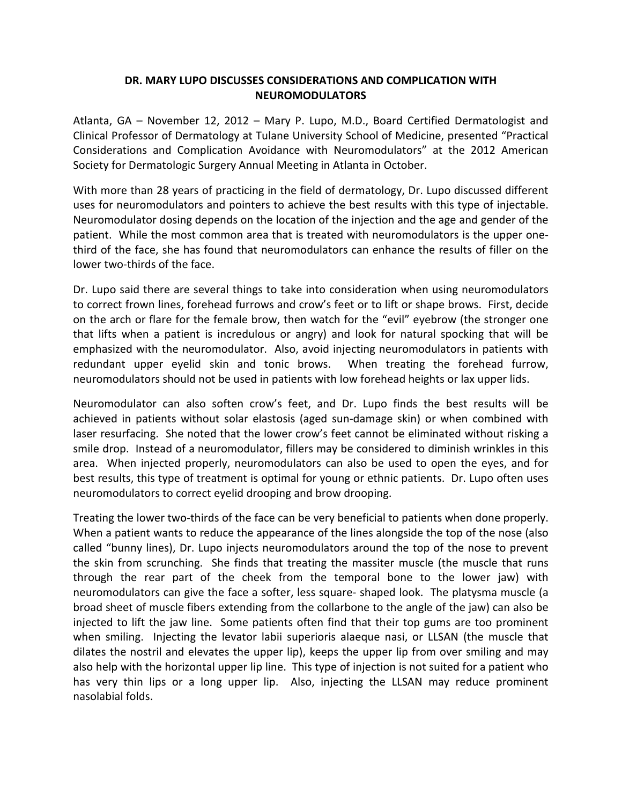## **DR. MARY LUPO DISCUSSES CONSIDERATIONS AND COMPLICATION WITH NEUROMODULATORS**

Atlanta, GA – November 12, 2012 – Mary P. Lupo, M.D., Board Certified Dermatologist and Clinical Professor of Dermatology at Tulane University School of Medicine, presented "Practical Considerations and Complication Avoidance with Neuromodulators" at the 2012 American Society for Dermatologic Surgery Annual Meeting in Atlanta in October.

With more than 28 years of practicing in the field of dermatology, Dr. Lupo discussed different uses for neuromodulators and pointers to achieve the best results with this type of injectable. Neuromodulator dosing depends on the location of the injection and the age and gender of the patient. While the most common area that is treated with neuromodulators is the upper onethird of the face, she has found that neuromodulators can enhance the results of filler on the lower two-thirds of the face.

Dr. Lupo said there are several things to take into consideration when using neuromodulators to correct frown lines, forehead furrows and crow's feet or to lift or shape brows. First, decide on the arch or flare for the female brow, then watch for the "evil" eyebrow (the stronger one that lifts when a patient is incredulous or angry) and look for natural spocking that will be emphasized with the neuromodulator. Also, avoid injecting neuromodulators in patients with redundant upper eyelid skin and tonic brows. When treating the forehead furrow, neuromodulators should not be used in patients with low forehead heights or lax upper lids.

Neuromodulator can also soften crow's feet, and Dr. Lupo finds the best results will be achieved in patients without solar elastosis (aged sun-damage skin) or when combined with laser resurfacing. She noted that the lower crow's feet cannot be eliminated without risking a smile drop. Instead of a neuromodulator, fillers may be considered to diminish wrinkles in this area. When injected properly, neuromodulators can also be used to open the eyes, and for best results, this type of treatment is optimal for young or ethnic patients. Dr. Lupo often uses neuromodulators to correct eyelid drooping and brow drooping.

Treating the lower two-thirds of the face can be very beneficial to patients when done properly. When a patient wants to reduce the appearance of the lines alongside the top of the nose (also called "bunny lines), Dr. Lupo injects neuromodulators around the top of the nose to prevent the skin from scrunching. She finds that treating the massiter muscle (the muscle that runs through the rear part of the cheek from the temporal bone to the lower jaw) with neuromodulators can give the face a softer, less square- shaped look. The platysma muscle (a broad sheet of muscle fibers extending from the collarbone to the angle of the jaw) can also be injected to lift the jaw line. Some patients often find that their top gums are too prominent when smiling. Injecting the levator labii superioris alaeque nasi, or LLSAN (the muscle that dilates the nostril and elevates the upper lip), keeps the upper lip from over smiling and may also help with the horizontal upper lip line. This type of injection is not suited for a patient who has very thin lips or a long upper lip. Also, injecting the LLSAN may reduce prominent nasolabial folds.